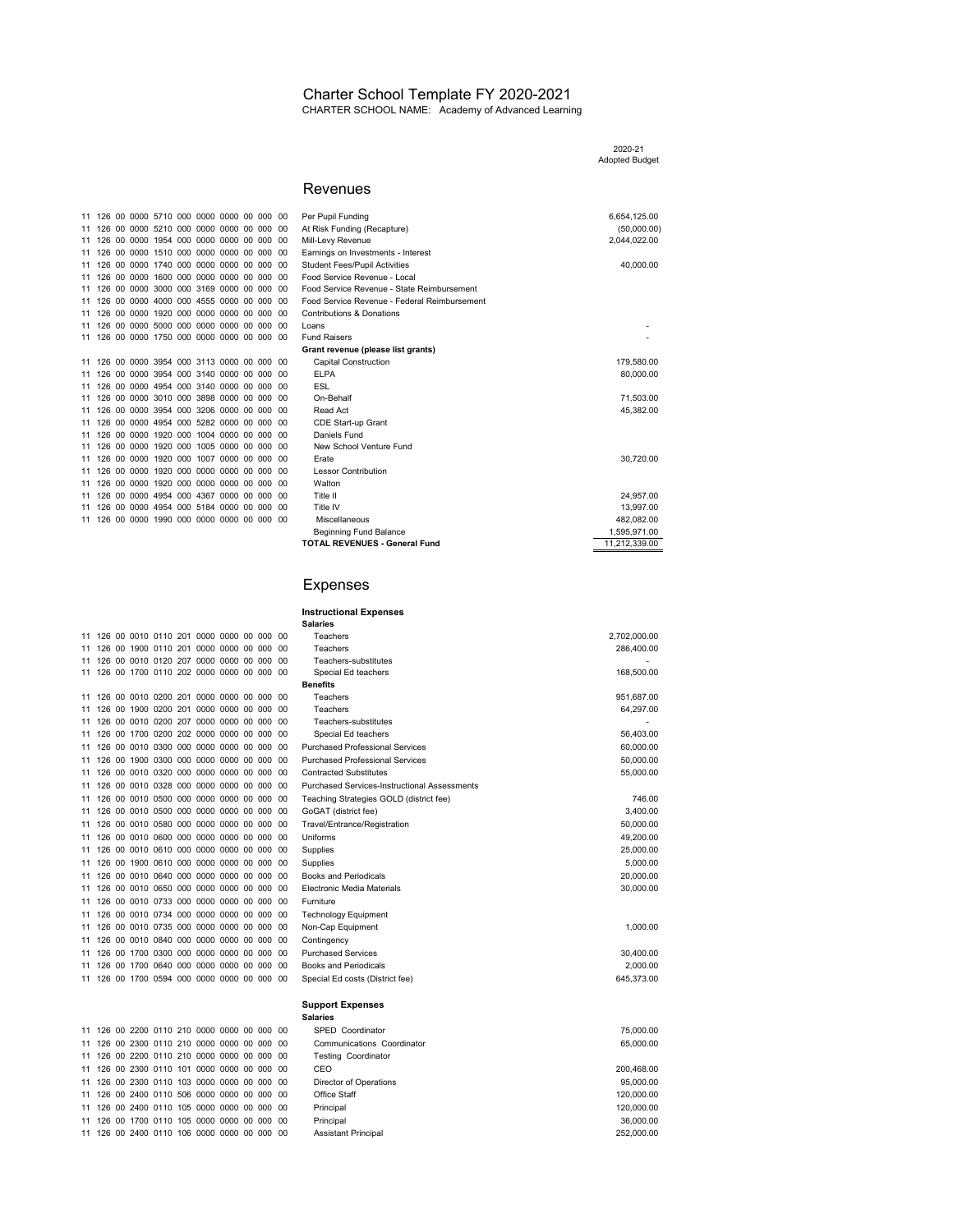## Charter School Template FY 2020-2021 CHARTER SCHOOL NAME: Academy of Advanced Learning

|                                    |  |  |  |  |  |  |                                             |  |  |     |                                              | 2020-21<br><b>Adopted Budget</b> |
|------------------------------------|--|--|--|--|--|--|---------------------------------------------|--|--|-----|----------------------------------------------|----------------------------------|
|                                    |  |  |  |  |  |  |                                             |  |  |     | Revenues                                     |                                  |
|                                    |  |  |  |  |  |  | 11 126 00 0000 5710 000 0000 0000 00 000 00 |  |  |     | Per Pupil Funding                            | 6,654,125.00                     |
|                                    |  |  |  |  |  |  | 11 126 00 0000 5210 000 0000 0000 00 000 00 |  |  |     | At Risk Funding (Recapture)                  | (50,000.00)                      |
|                                    |  |  |  |  |  |  | 11 126 00 0000 1954 000 0000 0000 00 000    |  |  | ററ  | Mill-Levy Revenue                            | 2,044,022.00                     |
|                                    |  |  |  |  |  |  | 11 126 00 0000 1510 000 0000 0000 00 000 00 |  |  |     | Earnings on Investments - Interest           |                                  |
|                                    |  |  |  |  |  |  | 11 126 00 0000 1740 000 0000 0000 00 000    |  |  | -00 | <b>Student Fees/Pupil Activities</b>         | 40.000.00                        |
|                                    |  |  |  |  |  |  | 11 126 00 0000 1600 000 0000 0000 00 000 00 |  |  |     | Food Service Revenue - Local                 |                                  |
|                                    |  |  |  |  |  |  | 11 126 00 0000 3000 000 3169 0000 00 000    |  |  | -00 | Food Service Revenue - State Reimbursement   |                                  |
|                                    |  |  |  |  |  |  | 11 126 00 0000 4000 000 4555 0000 00 000 00 |  |  |     | Food Service Revenue - Federal Reimbursement |                                  |
|                                    |  |  |  |  |  |  | 11 126 00 0000 1920 000 0000 0000 00 000 00 |  |  |     | Contributions & Donations                    |                                  |
|                                    |  |  |  |  |  |  | 11 126 00 0000 5000 000 0000 0000 00 000 00 |  |  |     | Loans                                        |                                  |
|                                    |  |  |  |  |  |  | 11 126 00 0000 1750 000 0000 0000 00 000 00 |  |  |     | <b>Fund Raisers</b>                          |                                  |
| Grant revenue (please list grants) |  |  |  |  |  |  |                                             |  |  |     |                                              |                                  |
|                                    |  |  |  |  |  |  | 11 126 00 0000 3954 000 3113 0000 00 000    |  |  | ററ  | <b>Capital Construction</b>                  | 179,580.00                       |
|                                    |  |  |  |  |  |  | 11 126 00 0000 3954 000 3140 0000 00 000 00 |  |  |     | <b>ELPA</b>                                  | 80,000.00                        |
|                                    |  |  |  |  |  |  | 11 126 00 0000 4954 000 3140 0000 00 000 00 |  |  |     | <b>ESL</b>                                   |                                  |
|                                    |  |  |  |  |  |  | 11 126 00 0000 3010 000 3898 0000 00 000 00 |  |  |     | On-Behalf                                    | 71,503.00                        |
|                                    |  |  |  |  |  |  | 11 126 00 0000 3954 000 3206 0000 00 000 00 |  |  |     | Read Act                                     | 45,382.00                        |
|                                    |  |  |  |  |  |  | 11 126 00 0000 4954 000 5282 0000 00 000 00 |  |  |     | CDE Start-up Grant                           |                                  |
|                                    |  |  |  |  |  |  | 11 126 00 0000 1920 000 1004 0000 00 000 00 |  |  |     | Daniels Fund                                 |                                  |
|                                    |  |  |  |  |  |  | 11 126 00 0000 1920 000 1005 0000 00 000 00 |  |  |     | New School Venture Fund                      |                                  |
|                                    |  |  |  |  |  |  | 11 126 00 0000 1920 000 1007 0000 00 000    |  |  | -00 | Erate                                        | 30,720.00                        |
|                                    |  |  |  |  |  |  | 11 126 00 0000 1920 000 0000 0000 00 000 00 |  |  |     | <b>Lessor Contribution</b>                   |                                  |
|                                    |  |  |  |  |  |  | 11 126 00 0000 1920 000 0000 0000 00 000 00 |  |  |     | Walton                                       |                                  |
|                                    |  |  |  |  |  |  | 11 126 00 0000 4954 000 4367 0000 00 000 00 |  |  |     | Title II                                     | 24.957.00                        |
|                                    |  |  |  |  |  |  | 11 126 00 0000 4954 000 5184 0000 00 000 00 |  |  |     | Title IV                                     | 13,997.00                        |
|                                    |  |  |  |  |  |  | 11 126 00 0000 1990 000 0000 0000 00 000 00 |  |  |     | Miscellaneous                                | 482,082.00                       |
|                                    |  |  |  |  |  |  |                                             |  |  |     | <b>Beginning Fund Balance</b>                | 1,595,971.00                     |
|                                    |  |  |  |  |  |  |                                             |  |  |     | <b>TOTAL REVENUES - General Fund</b>         | 11,212,339.00                    |

## Expenses

## **Instructional Expenses**

|  |  |  |                                             |  | <b>Salaries</b>                                     |              |
|--|--|--|---------------------------------------------|--|-----------------------------------------------------|--------------|
|  |  |  | 11 126 00 0010 0110 201 0000 0000 00 000 00 |  | Teachers                                            | 2,702,000.00 |
|  |  |  | 11 126 00 1900 0110 201 0000 0000 00 000 00 |  | Teachers                                            | 286,400.00   |
|  |  |  | 11 126 00 0010 0120 207 0000 0000 00 000 00 |  | Teachers-substitutes                                |              |
|  |  |  | 11 126 00 1700 0110 202 0000 0000 00 000 00 |  | Special Ed teachers                                 | 168,500.00   |
|  |  |  |                                             |  | <b>Benefits</b>                                     |              |
|  |  |  | 11 126 00 0010 0200 201 0000 0000 00 000 00 |  | Teachers                                            | 951,687.00   |
|  |  |  | 11 126 00 1900 0200 201 0000 0000 00 000 00 |  | Teachers                                            | 64,297.00    |
|  |  |  | 11 126 00 0010 0200 207 0000 0000 00 000 00 |  | Teachers-substitutes                                |              |
|  |  |  | 11 126 00 1700 0200 202 0000 0000 00 000 00 |  | Special Ed teachers                                 | 56.403.00    |
|  |  |  | 11 126 00 0010 0300 000 0000 0000 00 000 00 |  | <b>Purchased Professional Services</b>              | 60,000.00    |
|  |  |  | 11 126 00 1900 0300 000 0000 0000 00 000 00 |  | <b>Purchased Professional Services</b>              | 50,000.00    |
|  |  |  | 11 126 00 0010 0320 000 0000 0000 00 000 00 |  | <b>Contracted Substitutes</b>                       | 55,000.00    |
|  |  |  | 11 126 00 0010 0328 000 0000 0000 00 000 00 |  | <b>Purchased Services-Instructional Assessments</b> |              |
|  |  |  | 11 126 00 0010 0500 000 0000 0000 00 000 00 |  | Teaching Strategies GOLD (district fee)             | 746.00       |
|  |  |  | 11 126 00 0010 0500 000 0000 0000 00 000 00 |  | GoGAT (district fee)                                | 3.400.00     |
|  |  |  | 11 126 00 0010 0580 000 0000 0000 00 000 00 |  | Travel/Entrance/Registration                        | 50,000.00    |
|  |  |  | 11 126 00 0010 0600 000 0000 0000 00 000 00 |  | Uniforms                                            | 49,200.00    |
|  |  |  | 11 126 00 0010 0610 000 0000 0000 00 000 00 |  | Supplies                                            | 25,000.00    |
|  |  |  | 11 126 00 1900 0610 000 0000 0000 00 000 00 |  | Supplies                                            | 5.000.00     |
|  |  |  | 11 126 00 0010 0640 000 0000 0000 00 000 00 |  | <b>Books and Periodicals</b>                        | 20,000.00    |
|  |  |  | 11 126 00 0010 0650 000 0000 0000 00 000 00 |  | Electronic Media Materials                          | 30,000.00    |
|  |  |  | 11 126 00 0010 0733 000 0000 0000 00 000 00 |  | Furniture                                           |              |
|  |  |  | 11 126 00 0010 0734 000 0000 0000 00 000 00 |  | <b>Technology Equipment</b>                         |              |
|  |  |  | 11 126 00 0010 0735 000 0000 0000 00 000 00 |  | Non-Cap Equipment                                   | 1,000.00     |
|  |  |  | 11 126 00 0010 0840 000 0000 0000 00 000 00 |  | Contingency                                         |              |
|  |  |  | 11 126 00 1700 0300 000 0000 0000 00 000 00 |  | <b>Purchased Services</b>                           | 30,400.00    |
|  |  |  | 11 126 00 1700 0640 000 0000 0000 00 000 00 |  | <b>Books and Periodicals</b>                        | 2.000.00     |
|  |  |  | 11 126 00 1700 0594 000 0000 0000 00 000 00 |  | Special Ed costs (District fee)                     | 645.373.00   |
|  |  |  |                                             |  | <b>Support Expenses</b>                             |              |
|  |  |  |                                             |  | <b>Salaries</b>                                     |              |
|  |  |  | 11 126 00 2200 0110 210 0000 0000 00 000 00 |  | SPED Coordinator                                    | 75,000.00    |
|  |  |  | 11 126 00 2300 0110 210 0000 0000 00 000 00 |  | Communications Coordinator                          | 65,000.00    |
|  |  |  | 11 126 00 2200 0110 210 0000 0000 00 000 00 |  | <b>Testing Coordinator</b>                          |              |
|  |  |  | 11 126 00 2300 0110 101 0000 0000 00 000 00 |  | CEO                                                 | 200,468.00   |
|  |  |  | 11 126 00 2300 0110 103 0000 0000 00 000 00 |  | Director of Operations                              | 95,000.00    |
|  |  |  | 11 126 00 2400 0110 506 0000 0000 00 000 00 |  | Office Staff                                        | 120.000.00   |

 126 00 2400 0110 105 0000 0000 00 000 00 Principal 120,000.00 126 00 1700 0110 105 0000 0000 00 000 00 Principal 36,000.00 126 00 2400 0110 106 0000 0000 00 000 00 Assistant Principal 252,000.00

|    |  |  | 11 126 00 0000 5710 000 0000 0000 00 000 |  | ററ             | Per Pupil Funding                            |
|----|--|--|------------------------------------------|--|----------------|----------------------------------------------|
|    |  |  | 11 126 00 0000 5210 000 0000 0000 00 000 |  | 00             | At Risk Funding (Recapture)                  |
| 11 |  |  | 126 00 0000 1954 000 0000 0000 00 000    |  | 0 <sup>0</sup> | Mill-Levy Revenue                            |
|    |  |  | 11 126 00 0000 1510 000 0000 0000 00 000 |  | 0 <sup>0</sup> | Earnings on Investments - Interest           |
| 11 |  |  | 126 00 0000 1740 000 0000 0000 00 000    |  | 0 <sup>0</sup> | <b>Student Fees/Pupil Activities</b>         |
|    |  |  | 11 126 00 0000 1600 000 0000 0000 00 000 |  | n              | Food Service Revenue - Local                 |
| 11 |  |  | 126 00 0000 3000 000 3169 0000 00 000    |  | 0 <sup>0</sup> | Food Service Revenue - State Reimbursement   |
| 11 |  |  | 126 00 0000 4000 000 4555 0000 00 000    |  | 0 <sup>0</sup> | Food Service Revenue - Federal Reimbursement |
| 11 |  |  | 126 00 0000 1920 000 0000 0000 00 000    |  | 0 <sup>0</sup> | Contributions & Donations                    |
|    |  |  | 11 126 00 0000 5000 000 0000 0000 00 000 |  | 0 <sup>0</sup> | Loans                                        |
|    |  |  | 11 126 00 0000 1750 000 0000 0000 00 000 |  | 00             | <b>Fund Raisers</b>                          |
|    |  |  |                                          |  |                | Grant revenue (please list grants)           |
|    |  |  | 11 126 00 0000 3954 000 3113 0000 00 000 |  | -00            | <b>Capital Construction</b>                  |
|    |  |  | 11 126 00 0000 3954 000 3140 0000 00 000 |  | 00             | <b>ELPA</b>                                  |
|    |  |  | 11 126 00 0000 4954 000 3140 0000 00 000 |  | n              | ESL                                          |
|    |  |  | 11 126 00 0000 3010 000 3898 0000 00 000 |  | n              | On-Behalf                                    |
| 11 |  |  | 126 00 0000 3954 000 3206 0000 00 000    |  | ററ             | Read Act                                     |
| 11 |  |  | 126 00 0000 4954 000 5282 0000 00 000    |  | 00             | CDE Start-up Grant                           |
|    |  |  | 11 126 00 0000 1920 000 1004 0000 00 000 |  | n              | Daniels Fund                                 |
|    |  |  | 11 126 00 0000 1920 000 1005 0000 00 000 |  | n              | New School Venture Fund                      |
| 11 |  |  | 126 00 0000 1920 000 1007 0000 00 000    |  | n              | Erate                                        |
| 11 |  |  | 126 00 0000 1920 000 0000 0000 00 000    |  | n              | <b>Lessor Contribution</b>                   |
| 11 |  |  | 126 00 0000 1920 000 0000 0000 00 000    |  | 0 <sup>0</sup> | Walton                                       |
| 11 |  |  | 126 00 0000 4954 000 4367 0000 00 000    |  | 0 <sup>0</sup> | Title II                                     |
|    |  |  | 11 126 00 0000 4954 000 5184 0000 00 000 |  | n              | Title IV                                     |
|    |  |  | 11 126 00 0000 1990 000 0000 0000 00 000 |  | 0 <sup>0</sup> | Miscellaneous                                |
|    |  |  |                                          |  |                | <b>Desinving Fund Delance</b>                |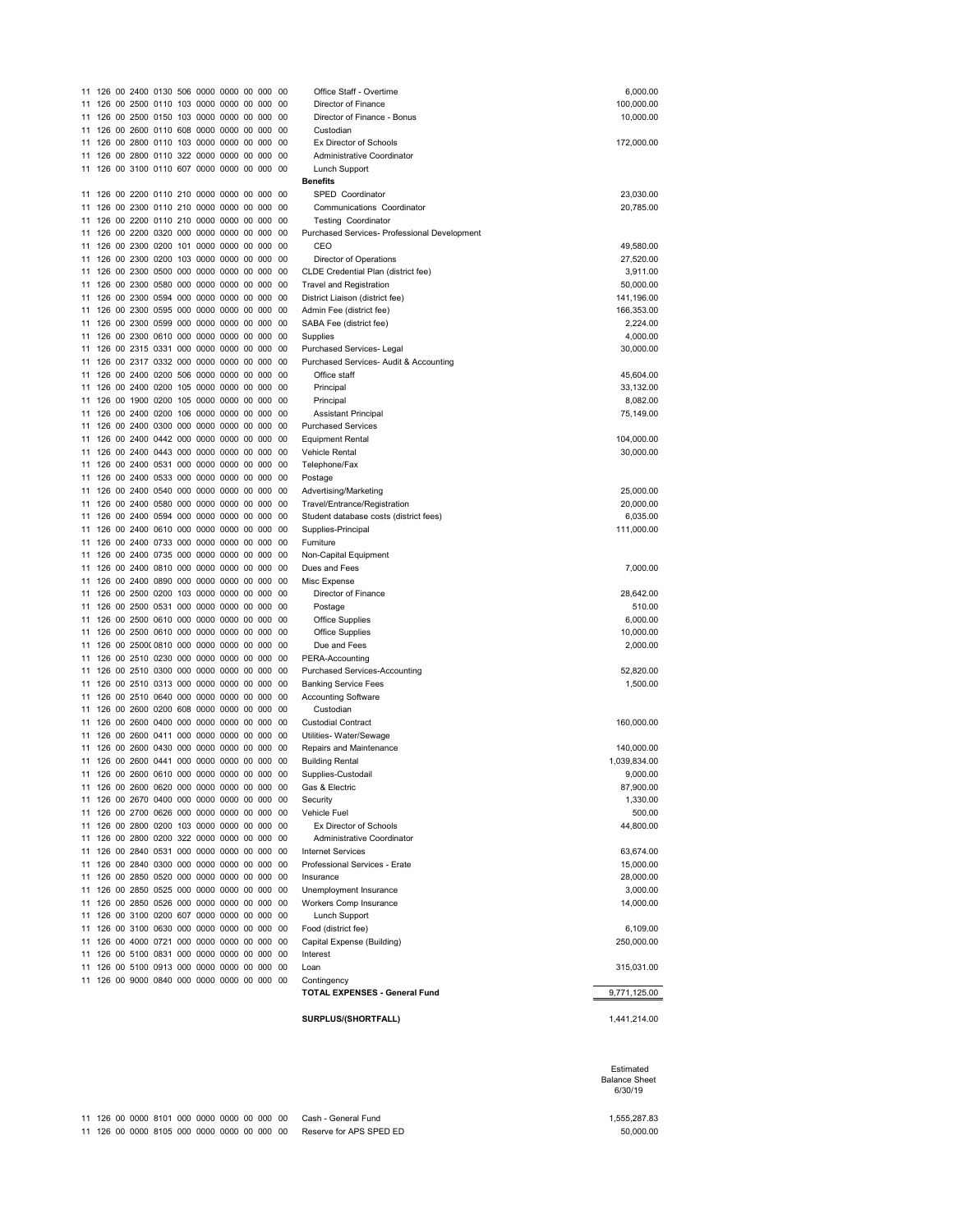|    |        |  |  | 11 126 00 2400 0130 506 0000 0000 00 000 00                                          |  |            | Office Staff - Overtime                                               | 6,000.00     |
|----|--------|--|--|--------------------------------------------------------------------------------------|--|------------|-----------------------------------------------------------------------|--------------|
|    |        |  |  | 11 126 00 2500 0110 103 0000 0000 00 000                                             |  | -00        | Director of Finance                                                   | 100,000.00   |
|    |        |  |  | 11 126 00 2500 0150 103 0000 0000 00 000                                             |  | -00        | Director of Finance - Bonus                                           | 10.000.00    |
|    |        |  |  | 11 126 00 2600 0110 608 0000 0000 00 000                                             |  | - 00       | Custodian                                                             |              |
|    |        |  |  | 11 126 00 2800 0110 103 0000 0000 00 000                                             |  | 00         | Ex Director of Schools                                                | 172,000.00   |
|    | 11 126 |  |  | 00 2800 0110 322 0000 0000 00 000                                                    |  | 00         | Administrative Coordinator                                            |              |
|    |        |  |  | 11 126 00 3100 0110 607 0000 0000 00 000                                             |  | 00         | Lunch Support                                                         |              |
|    |        |  |  |                                                                                      |  |            | <b>Benefits</b>                                                       |              |
|    |        |  |  | 11 126 00 2200 0110 210 0000 0000 00 000 00                                          |  |            | SPED Coordinator                                                      | 23,030.00    |
|    | 11 126 |  |  | 00 2300 0110 210 0000 0000 00 000                                                    |  | -00<br>00  | Communications Coordinator                                            | 20,785.00    |
|    |        |  |  | 11 126 00 2200 0110 210 0000 0000 00 000                                             |  |            | <b>Testing Coordinator</b>                                            |              |
|    |        |  |  | 11 126 00 2200 0320 000 0000 0000 00 000                                             |  | 00<br>00   | Purchased Services- Professional Development                          |              |
|    |        |  |  | 11 126 00 2300 0200 101 0000 0000 00 000                                             |  |            | CEO                                                                   | 49,580.00    |
|    | 11 126 |  |  | 00 2300 0200 103 0000 0000 00 000                                                    |  | 00         | Director of Operations                                                | 27,520.00    |
|    | 11 126 |  |  | 00 2300 0500 000 0000 0000 00 000<br>126 00 2300 0580 000 0000 0000 00 000           |  | 00         | CLDE Credential Plan (district fee)<br><b>Travel and Registration</b> | 3,911.00     |
| 11 |        |  |  |                                                                                      |  | 00         |                                                                       | 50,000.00    |
|    | 11 126 |  |  | 11 126 00 2300 0594 000 0000 0000 00 000<br>00 2300 0595 000 0000 0000 00 000        |  | - 00<br>00 | District Liaison (district fee)                                       | 141,196.00   |
|    |        |  |  |                                                                                      |  | 00         | Admin Fee (district fee)                                              | 166,353.00   |
|    |        |  |  | 11 126 00 2300 0599 000 0000 0000 00 000<br>11 126 00 2300 0610 000 0000 0000 00 000 |  | 00         | SABA Fee (district fee)                                               | 2,224.00     |
|    |        |  |  | 11 126 00 2315 0331 000 0000 0000 00 000                                             |  | - 00       | Supplies                                                              | 4,000.00     |
|    |        |  |  | 11 126 00 2317 0332 000 0000 0000 00 000                                             |  | - 00       | Purchased Services- Legal<br>Purchased Services- Audit & Accounting   | 30,000.00    |
|    | 11 126 |  |  | 00 2400 0200 506 0000 0000 00 000                                                    |  | 00         | Office staff                                                          |              |
|    |        |  |  | 11 126 00 2400 0200 105 0000 0000 00 000                                             |  | - 00       |                                                                       | 45,604.00    |
|    |        |  |  | 11 126 00 1900 0200 105 0000 0000 00 000 00                                          |  |            | Principal                                                             | 33,132.00    |
|    |        |  |  |                                                                                      |  | - 00       | Principal                                                             | 8,082.00     |
|    |        |  |  | 11 126 00 2400 0200 106 0000 0000 00 000<br>00 2400 0300 000 0000 0000 00 000        |  |            | <b>Assistant Principal</b>                                            | 75,149.00    |
|    | 11 126 |  |  |                                                                                      |  | 00<br>00   | <b>Purchased Services</b>                                             |              |
|    |        |  |  | 11 126 00 2400 0442 000 0000 0000 00 000<br>11 126 00 2400 0443 000 0000 0000 00 000 |  |            | <b>Equipment Rental</b>                                               | 104,000.00   |
|    |        |  |  | 11 126 00 2400 0531 000 0000 0000 00 000                                             |  | -00<br>00  | <b>Vehicle Rental</b><br>Telephone/Fax                                | 30,000.00    |
|    |        |  |  | 00 2400 0533 000 0000 0000 00 000                                                    |  |            |                                                                       |              |
|    | 11 126 |  |  | 11 126 00 2400 0540 000 0000 0000 00 000                                             |  | 00<br>00   | Postage                                                               | 25,000.00    |
|    |        |  |  | 11 126 00 2400 0580 000 0000 0000 00 000                                             |  | 00         | Advertising/Marketing<br>Travel/Entrance/Registration                 | 20,000.00    |
|    |        |  |  | 11 126 00 2400 0594 000 0000 0000 00 000                                             |  | 00         | Student database costs (district fees)                                | 6,035.00     |
|    | 11 126 |  |  | 00 2400 0610 000 0000 0000 00 000                                                    |  | 00         | Supplies-Principal                                                    | 111,000.00   |
|    |        |  |  | 11 126 00 2400 0733 000 0000 0000 00 000                                             |  | -00        | Furniture                                                             |              |
|    |        |  |  | 11 126 00 2400 0735 000 0000 0000 00 000                                             |  | 00         | Non-Capital Equipment                                                 |              |
|    |        |  |  | 11 126 00 2400 0810 000 0000 0000 00 000                                             |  | - 00       | Dues and Fees                                                         | 7,000.00     |
|    | 11 126 |  |  | 00 2400 0890 000 0000 0000 00 000                                                    |  | - 00       | Misc Expense                                                          |              |
|    | 11 126 |  |  | 00 2500 0200 103 0000 0000 00 000                                                    |  | 00         | Director of Finance                                                   | 28,642.00    |
|    | 11 126 |  |  | 00 2500 0531 000 0000 0000 00 000                                                    |  | 00         | Postage                                                               | 510.00       |
|    |        |  |  | 11 126 00 2500 0610 000 0000 0000 00 000 00                                          |  |            | <b>Office Supplies</b>                                                | 6,000.00     |
|    |        |  |  | 11 126 00 2500 0610 000 0000 0000 00 000 00                                          |  |            | <b>Office Supplies</b>                                                | 10,000.00    |
|    | 11 126 |  |  | 00 2500(0810 000 0000 0000 00 000                                                    |  | 00         | Due and Fees                                                          | 2,000.00     |
|    |        |  |  | 11 126 00 2510 0230 000 0000 0000 00 000                                             |  | 00         | PERA-Accounting                                                       |              |
|    |        |  |  | 11 126 00 2510 0300 000 0000 0000 00 000                                             |  | - 00       | <b>Purchased Services-Accounting</b>                                  | 52,820.00    |
|    | 11 126 |  |  | 00 2510 0313 000 0000 0000 00 000                                                    |  | 00         | <b>Banking Service Fees</b>                                           | 1,500.00     |
|    | 11 126 |  |  | 00 2510 0640 000 0000 0000 00 000                                                    |  | 00         | Accounting Software                                                   |              |
|    |        |  |  | 11 126 00 2600 0200 608 0000 0000 00 000                                             |  | 00         | Custodian                                                             |              |
|    |        |  |  | 11 126 00 2600 0400 000 0000 0000 00 000                                             |  | 00         | <b>Custodial Contract</b>                                             | 160,000.00   |
|    |        |  |  | 11 126 00 2600 0411 000 0000 0000 00 000                                             |  | - 00       | Utilities- Water/Sewage                                               |              |
|    |        |  |  | 11 126 00 2600 0430 000 0000 0000 00 000                                             |  | 00         | Repairs and Maintenance                                               | 140,000.00   |
|    |        |  |  | 11 126 00 2600 0441 000 0000 0000 00 000                                             |  | - 00       | <b>Building Rental</b>                                                | 1,039,834.00 |
|    |        |  |  | 11 126 00 2600 0610 000 0000 0000 00 000 00                                          |  |            | Supplies-Custodail                                                    | 9,000.00     |
|    |        |  |  | 11 126 00 2600 0620 000 0000 0000 00 000 00                                          |  |            | Gas & Electric                                                        | 87,900.00    |
|    |        |  |  | 11 126 00 2670 0400 000 0000 0000 00 000 00                                          |  |            | Security                                                              | 1,330.00     |
|    |        |  |  | 11 126 00 2700 0626 000 0000 0000 00 000 00                                          |  |            | Vehicle Fuel                                                          | 500.00       |
|    |        |  |  | 11 126 00 2800 0200 103 0000 0000 00 000 00                                          |  |            | Ex Director of Schools                                                | 44,800.00    |
|    |        |  |  | 11 126 00 2800 0200 322 0000 0000 00 000 00                                          |  |            | Administrative Coordinator                                            |              |
|    |        |  |  | 11 126 00 2840 0531 000 0000 0000 00 000 00                                          |  |            | <b>Internet Services</b>                                              | 63,674.00    |
|    |        |  |  | 11 126 00 2840 0300 000 0000 0000 00 000 00                                          |  |            | Professional Services - Erate                                         | 15,000.00    |
|    |        |  |  | 11 126 00 2850 0520 000 0000 0000 00 000 00                                          |  |            | Insurance                                                             | 28,000.00    |
|    |        |  |  | 11 126 00 2850 0525 000 0000 0000 00 000 00                                          |  |            | Unemployment Insurance                                                | 3,000.00     |
|    |        |  |  | 11 126 00 2850 0526 000 0000 0000 00 000 00                                          |  |            | <b>Workers Comp Insurance</b>                                         | 14,000.00    |
|    |        |  |  | 11 126 00 3100 0200 607 0000 0000 00 000 00                                          |  |            | Lunch Support                                                         |              |
|    |        |  |  | 11 126 00 3100 0630 000 0000 0000 00 000 00                                          |  |            | Food (district fee)                                                   | 6,109.00     |
|    |        |  |  | 11 126 00 4000 0721 000 0000 0000 00 000 00                                          |  |            | Capital Expense (Building)                                            | 250,000.00   |
|    |        |  |  | 11 126 00 5100 0831 000 0000 0000 00 000 00                                          |  |            | Interest                                                              |              |
|    |        |  |  | 11 126 00 5100 0913 000 0000 0000 00 000 00                                          |  |            | Loan                                                                  | 315,031.00   |
|    |        |  |  | 11 126 00 9000 0840 000 0000 0000 00 000 00                                          |  |            | Contingency                                                           |              |
|    |        |  |  |                                                                                      |  |            | <b>TOTAL EXPENSES - General Fund</b>                                  | 9,771,125.00 |
|    |        |  |  |                                                                                      |  |            |                                                                       |              |
|    |        |  |  |                                                                                      |  |            | SURPLUS/(SHORTFALL)                                                   | 1,441,214.00 |
|    |        |  |  |                                                                                      |  |            |                                                                       |              |
|    |        |  |  |                                                                                      |  |            |                                                                       |              |

Estimated Balance Sheet 6/30/19

 126 00 0000 8101 000 0000 0000 00 000 00 Cash - General Fund 1,555,287.83 126 00 0000 8105 000 0000 0000 00 000 00 Reserve for APS SPED ED 50,000.00